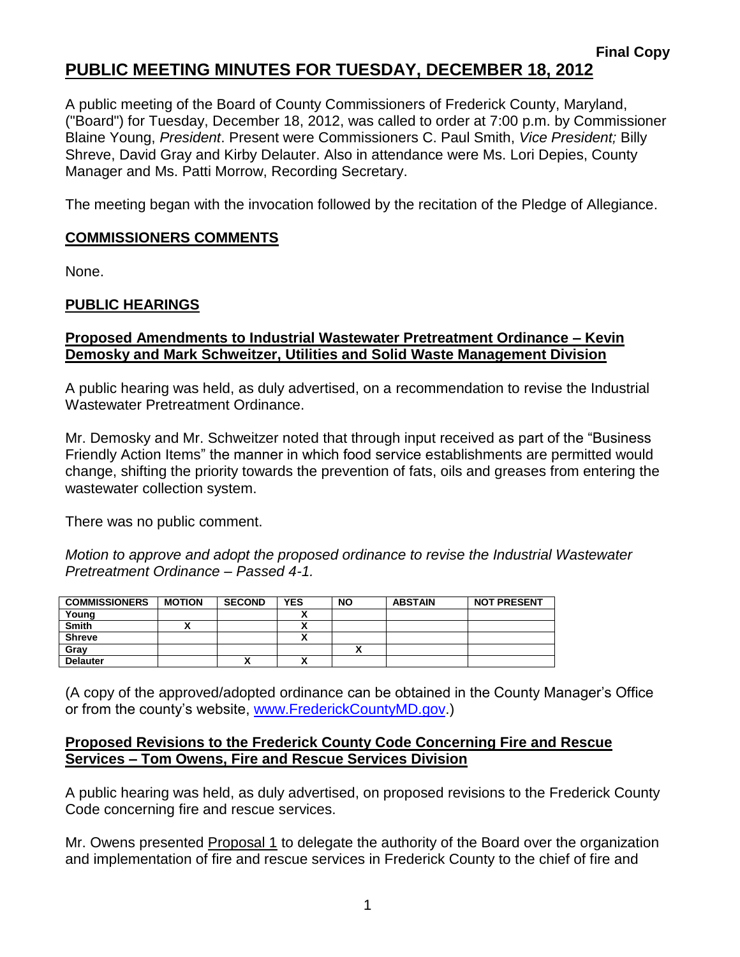# **PUBLIC MEETING MINUTES FOR TUESDAY, DECEMBER 18, 2012**

A public meeting of the Board of County Commissioners of Frederick County, Maryland, ("Board") for Tuesday, December 18, 2012, was called to order at 7:00 p.m. by Commissioner Blaine Young, *President*. Present were Commissioners C. Paul Smith, *Vice President;* Billy Shreve, David Gray and Kirby Delauter. Also in attendance were Ms. Lori Depies, County Manager and Ms. Patti Morrow, Recording Secretary.

The meeting began with the invocation followed by the recitation of the Pledge of Allegiance.

## **COMMISSIONERS COMMENTS**

None.

## **PUBLIC HEARINGS**

#### **Proposed Amendments to Industrial Wastewater Pretreatment Ordinance – Kevin Demosky and Mark Schweitzer, Utilities and Solid Waste Management Division**

A public hearing was held, as duly advertised, on a recommendation to revise the Industrial Wastewater Pretreatment Ordinance.

Mr. Demosky and Mr. Schweitzer noted that through input received as part of the "Business Friendly Action Items" the manner in which food service establishments are permitted would change, shifting the priority towards the prevention of fats, oils and greases from entering the wastewater collection system.

There was no public comment.

*Motion to approve and adopt the proposed ordinance to revise the Industrial Wastewater Pretreatment Ordinance – Passed 4-1.*

| <b>COMMISSIONERS</b> | <b>MOTION</b> | <b>SECOND</b> | <b>YES</b>               | <b>NO</b> | <b>ABSTAIN</b> | <b>NOT PRESENT</b> |
|----------------------|---------------|---------------|--------------------------|-----------|----------------|--------------------|
| Young                |               |               |                          |           |                |                    |
| <b>Smith</b>         |               |               |                          |           |                |                    |
| <b>Shreve</b>        |               |               |                          |           |                |                    |
| Gray                 |               |               |                          |           |                |                    |
| <b>Delauter</b>      |               | ~             | $\overline{\phantom{a}}$ |           |                |                    |

(A copy of the approved/adopted ordinance can be obtained in the County Manager's Office or from the county's website, [www.FrederickCountyMD.gov.](http://www.frederickcountymd.gov/))

#### **Proposed Revisions to the Frederick County Code Concerning Fire and Rescue Services – Tom Owens, Fire and Rescue Services Division**

A public hearing was held, as duly advertised, on proposed revisions to the Frederick County Code concerning fire and rescue services.

Mr. Owens presented Proposal 1 to delegate the authority of the Board over the organization and implementation of fire and rescue services in Frederick County to the chief of fire and